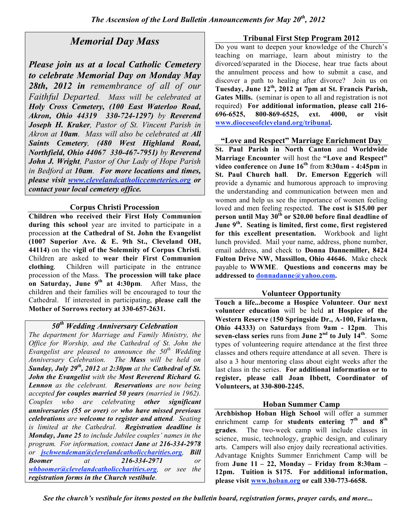# *Memorial Day Mass*

*Please join us at a local Catholic Cemetery to celebrate Memorial Day on Monday May 28th, 2012 in remembrance of all of our Faithful Departed. Mass will be celebrated at Holy Cross Cemetery, (100 East Waterloo Road, Akron, Ohio 44319 330-724-1297) by Reverend Joseph H. Kraker, Pastor of St. Vincent Parish in Akron at 10am. Mass will also be celebrated at All Saints Cemetery, (480 West Highland Road, Northfield, Ohio 44067 330-467-7951) by Reverend John J. Wright, Pastor of Our Lady of Hope Parish in Bedford at 10am. For more locations and times, please visit www.clevelandcatholiccemeteries.org or contact your local cemetery office.*

## **Corpus Christi Procession**

**Children who received their First Holy Communion during this school** year are invited to participate in a procession **at the Cathedral of St. John the Evangelist (1007 Superior Ave. & E. 9th St., Cleveland OH, 44114)** on the **vigil of the Solemnity of Corpus Christi**. Children are asked to **wear their First Communion clothing**. Children will participate in the entrance procession of the Mass. **The procession will take place on Saturday, June 9th at 4:30pm**. After Mass, the children and their families will be encouraged to tour the Cathedral. If interested in participating, **please call the Mother of Sorrows rectory at 330-657-2631.**

## *50th Wedding Anniversary Celebration*

*The department for Marriage and Family Ministry, the Office for Worship, and the Cathedral of St. John the Evangelist are pleased to announce the 50th Wedding Anniversary Celebration. The Mass will be held on Sunday, July 29th , 2012 at 2:30pm at the Cathedral of St. John the Evangelist with the Most Reverend Richard G. Lennon as the celebrant. Reservations are now being accepted for couples married 50 years (married in 1962). Couples who are celebrating other significant anniversaries (55 or over) or who have missed previous celebrations are welcome to register and attend. Seating is limited at the Cathedral. Registration deadline is Monday, June 25 to include Jubilee couples' names in the program. For information, contact Jane at 216-334-2978 or jschwendeman@clevelandcatholiccharities.org, Bill Boomer at 216-334-2971 or whboomer@clevelandcatholiccharities.org, or see the registration forms in the Church vestibule.*

### **Tribunal First Step Program 2012**

Do you want to deepen your knowledge of the Church's teaching on marriage, learn about ministry to the divorced/separated in the Diocese, hear true facts about the annulment process and how to submit a case, and discover a path to healing after divorce? Join us on **Tuesday, June 12th , 2012 at 7pm at St. Francis Parish, Gates Mills.** (seminar is open to all and registration is not required) **For additional information, please call 216- 696-6525, 800-869-6525, ext. 4000, or visit www.dioceseofcleveland.org/tribunal.**

#### **"Love and Respect" Marriage Enrichment Day**

**St. Paul Parish in North Canton** and **Worldwide Marriage Encounter** will host the **"Love and Respect" video conference** on **June 16th** from **8:30am - 4:45pm** in **St. Paul Church hall**. **Dr. Emerson Eggerich** will provide a dynamic and humorous approach to improving the understanding and communication between men and women and help us see the importance of women feeling loved and men feeling respected. **The cost is \$15.00 per person until May 30th or \$20.00 before final deadline of June 9th . Seating is limited, first come, first registered for this excellent presentation.** Workbook and light lunch provided. Mail your name, address, phone number, email address, and check to **Donna Dannemiller, 8424 Fulton Drive NW, Massillon, Ohio 44646.** Make check payable to **WWME**. **Questions and concerns may be addressed to donnadanne@yahoo.com.**

## **Volunteer Opportunity**

**Touch a life...become a Hospice Volunteer**. **Our next volunteer education** will be held **at Hospice of the Western Reserve** (**150 Springside Dr., A-100, Fairlawn, Ohio 44333)** on **Saturdays** from **9am - 12pm**. This **seven-class series** runs from **June 2nd to July 14th** . Some types of volunteering require attendance at the first three classes and others require attendance at all seven. There is also a 3 hour mentoring class about eight weeks after the last class in the series. **For additional information or to register, please call Joan Ibbett, Coordinator of Volunteers, at 330-800-2245.**

## **Hoban Summer Camp**

**Archbishop Hoban High School** will offer a summer enrichment camp for **students entering 7th and 8th grades**. The two-week camp will include classes in science, music, technology, graphic design, and culinary arts. Campers will also enjoy daily recreational activities. Advantage Knights Summer Enrichment Camp will be from **June 11 – 22, Monday – Friday from 8:30am – 12pm. Tuition is \$175. For additional information, please visit www.hoban.org or call 330-773-6658.**

*See the church's vestibule for items posted on the bulletin board, registration forms, prayer cards, and more...*